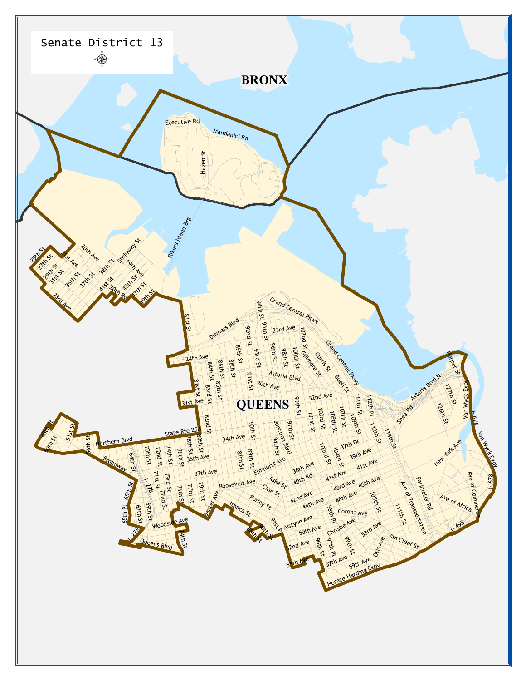